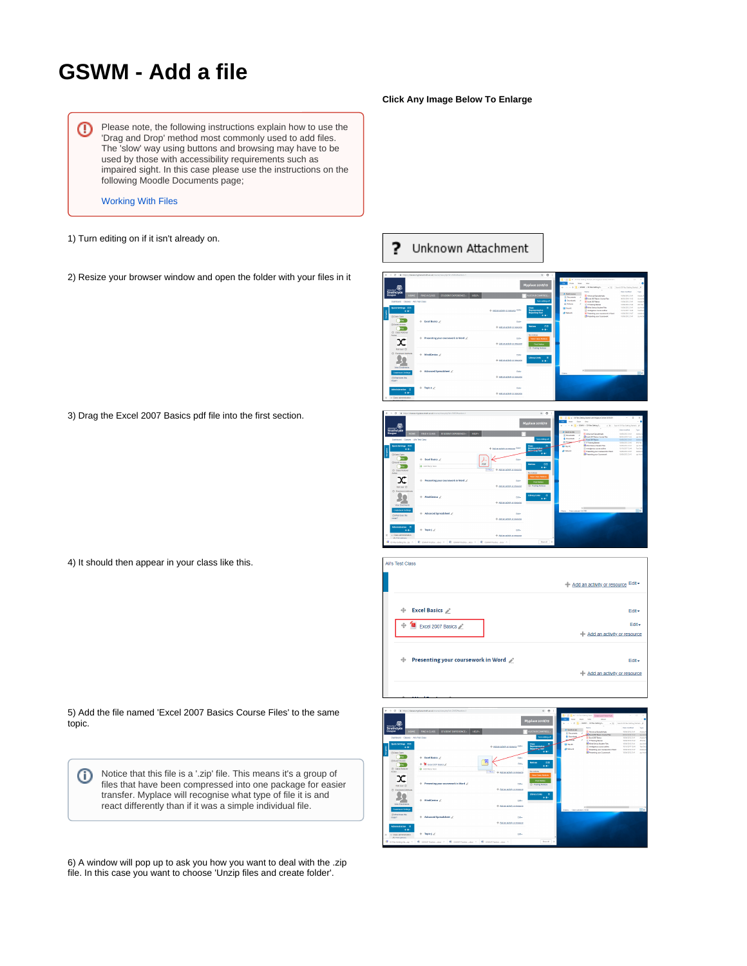## **GSWM - Add a file**

Please note, the following instructions explain how to use the O) 'Drag and Drop' method most commonly used to add files. The 'slow' way using buttons and browsing may have to be used by those with accessibility requirements such as impaired sight. In this case please use the instructions on the following Moodle Documents page;

[Working With Files](https://docs.moodle.org/34/en/Working_with_files#Add_a_resource_or_activity)

- 1) Turn editing on if it isn't already on.
- 2) Resize your browser window and open the folder with your files in it

3) Drag the Excel 2007 Basics pdf file into the first section.

4) It should then appear in your class like this.

5) Add the file named 'Excel 2007 Basics Course Files' to the same topic.

Notice that this file is a '.zip' file. This means it's a group of O files that have been compressed into one package for easier transfer. Myplace will recognise what type of file it is and react differently than if it was a simple individual file.

6) A window will pop up to ask you how you want to deal with the .zip file. In this case you want to choose 'Unzip files and create folder'.

**Click Any Image Below To Enlarge**

2 Unknown Attachment

Ş st Access<br>D<sup>ig</sup>nis  $\mathbf{x}$  $\overline{\mathcal{G}}$ 



| Ali's Test Class                              |                                         |
|-----------------------------------------------|-----------------------------------------|
|                                               | + Add an activity or resource Edit -    |
| ÷<br><b>Excel Basics</b><br>Excel 2007 Basics | $Edit -$<br>Edit -                      |
|                                               | + Add an activity or resource           |
| Presenting your coursework in Word /<br>÷     | $Edit -$<br>Add an activity or resource |
|                                               |                                         |